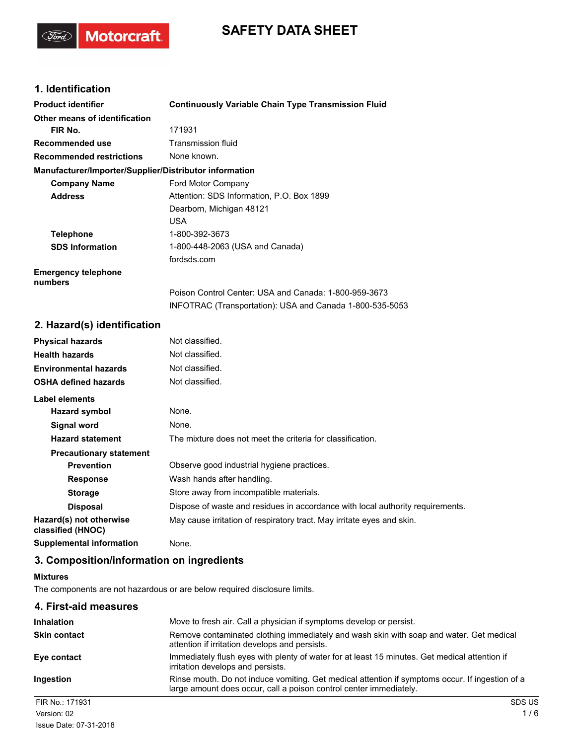# **SAFETY DATA SHEET**

## **1. Identification**

(Ford)

Motorcraft.

| <b>Product identifier</b>                                                                                                                                                                                                     | <b>Continuously Variable Chain Type Transmission Fluid</b> |
|-------------------------------------------------------------------------------------------------------------------------------------------------------------------------------------------------------------------------------|------------------------------------------------------------|
| Other means of identification                                                                                                                                                                                                 |                                                            |
| FIR No.                                                                                                                                                                                                                       | 171931                                                     |
| <b>Recommended use</b>                                                                                                                                                                                                        | Transmission fluid                                         |
| <b>Recommended restrictions</b>                                                                                                                                                                                               | None known.                                                |
| Manufacturer/Importer/Supplier/Distributor information                                                                                                                                                                        |                                                            |
| <b>Company Name</b>                                                                                                                                                                                                           | Ford Motor Company                                         |
| <b>Address</b>                                                                                                                                                                                                                | Attention: SDS Information, P.O. Box 1899                  |
|                                                                                                                                                                                                                               | Dearborn, Michigan 48121                                   |
|                                                                                                                                                                                                                               | USA.                                                       |
| <b>Telephone</b>                                                                                                                                                                                                              | 1-800-392-3673                                             |
| <b>SDS Information</b>                                                                                                                                                                                                        | 1-800-448-2063 (USA and Canada)                            |
|                                                                                                                                                                                                                               | fordsds.com                                                |
| <b>Emergency telephone</b><br>numbers                                                                                                                                                                                         |                                                            |
|                                                                                                                                                                                                                               | Poison Control Center: USA and Canada: 1-800-959-3673      |
|                                                                                                                                                                                                                               | INFOTRAC (Transportation): USA and Canada 1-800-535-5053   |
| 2. Hazard(s) identification                                                                                                                                                                                                   |                                                            |
| Policy of the first contract and the contract of the contract of the contract of the contract of the contract of the contract of the contract of the contract of the contract of the contract of the contract of the contract | المستكف سماء الملكا المالية                                |

| <b>Physical hazards</b>                      | Not classified.                                                                |
|----------------------------------------------|--------------------------------------------------------------------------------|
| <b>Health hazards</b>                        | Not classified.                                                                |
| <b>Environmental hazards</b>                 | Not classified.                                                                |
| <b>OSHA defined hazards</b>                  | Not classified.                                                                |
| Label elements                               |                                                                                |
| Hazard symbol                                | None.                                                                          |
| Signal word                                  | None.                                                                          |
| <b>Hazard statement</b>                      | The mixture does not meet the criteria for classification.                     |
| <b>Precautionary statement</b>               |                                                                                |
| <b>Prevention</b>                            | Observe good industrial hygiene practices.                                     |
| <b>Response</b>                              | Wash hands after handling.                                                     |
| <b>Storage</b>                               | Store away from incompatible materials.                                        |
| <b>Disposal</b>                              | Dispose of waste and residues in accordance with local authority requirements. |
| Hazard(s) not otherwise<br>classified (HNOC) | May cause irritation of respiratory tract. May irritate eyes and skin.         |
| <b>Supplemental information</b>              | None.                                                                          |

## **3. Composition/information on ingredients**

## **Mixtures**

The components are not hazardous or are below required disclosure limits.

| 4. First-aid measures |                                                                                                                                                                       |               |
|-----------------------|-----------------------------------------------------------------------------------------------------------------------------------------------------------------------|---------------|
| <b>Inhalation</b>     | Move to fresh air. Call a physician if symptoms develop or persist.                                                                                                   |               |
| <b>Skin contact</b>   | Remove contaminated clothing immediately and wash skin with soap and water. Get medical<br>attention if irritation develops and persists.                             |               |
| Eye contact           | Immediately flush eyes with plenty of water for at least 15 minutes. Get medical attention if<br>irritation develops and persists.                                    |               |
| Ingestion             | Rinse mouth. Do not induce vomiting. Get medical attention if symptoms occur. If ingestion of a<br>large amount does occur, call a poison control center immediately. |               |
| FIR No.: 171931       |                                                                                                                                                                       | <b>SDS US</b> |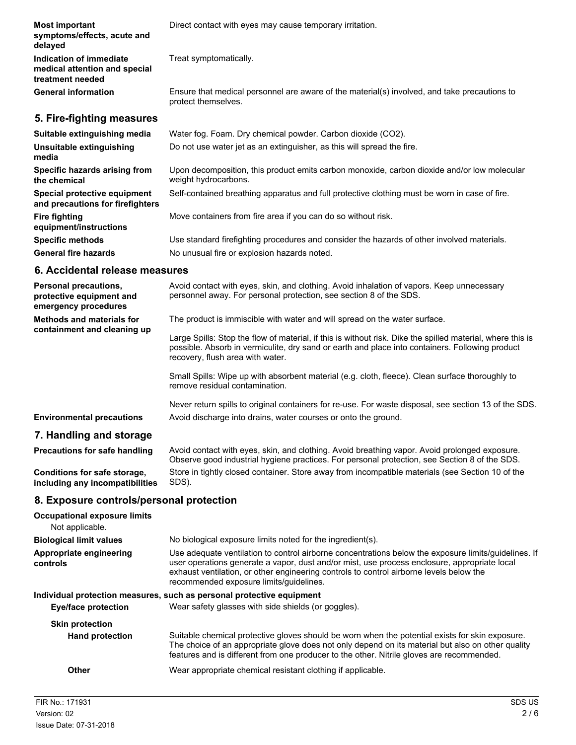| <b>Most important</b><br>symptoms/effects, acute and<br>delayed              | Direct contact with eyes may cause temporary irritation.                                                            |
|------------------------------------------------------------------------------|---------------------------------------------------------------------------------------------------------------------|
| Indication of immediate<br>medical attention and special<br>treatment needed | Treat symptomatically.                                                                                              |
| <b>General information</b>                                                   | Ensure that medical personnel are aware of the material(s) involved, and take precautions to<br>protect themselves. |
| 5. Fire-fighting measures                                                    |                                                                                                                     |
| Suitable extinguishing media                                                 | Water fog. Foam. Dry chemical powder. Carbon dioxide (CO2).                                                         |
| Unsuitable extinguishing<br>media                                            | Do not use water jet as an extinguisher, as this will spread the fire.                                              |
| Specific hazards arising from<br>the chemical                                | Upon decomposition, this product emits carbon monoxide, carbon dioxide and/or low molecular<br>weight hydrocarbons. |
| Special protective equipment<br>and precautions for firefighters             | Self-contained breathing apparatus and full protective clothing must be worn in case of fire.                       |
| <b>Fire fighting</b><br>equipment/instructions                               | Move containers from fire area if you can do so without risk.                                                       |
| <b>Specific methods</b>                                                      | Use standard firefighting procedures and consider the hazards of other involved materials.                          |
| <b>General fire hazards</b>                                                  | No unusual fire or explosion hazards noted.                                                                         |

## **6. Accidental release measures**

| <b>Personal precautions,</b><br>protective equipment and<br>emergency procedures | Avoid contact with eyes, skin, and clothing. Avoid inhalation of vapors. Keep unnecessary<br>personnel away. For personal protection, see section 8 of the SDS.                                                                                                                                                                            |
|----------------------------------------------------------------------------------|--------------------------------------------------------------------------------------------------------------------------------------------------------------------------------------------------------------------------------------------------------------------------------------------------------------------------------------------|
| <b>Methods and materials for</b><br>containment and cleaning up                  | The product is immiscible with water and will spread on the water surface.                                                                                                                                                                                                                                                                 |
|                                                                                  | Large Spills: Stop the flow of material, if this is without risk. Dike the spilled material, where this is<br>possible. Absorb in vermiculite, dry sand or earth and place into containers. Following product<br>recovery, flush area with water.                                                                                          |
|                                                                                  | Small Spills: Wipe up with absorbent material (e.g. cloth, fleece). Clean surface thoroughly to<br>remove residual contamination.                                                                                                                                                                                                          |
|                                                                                  | Never return spills to original containers for re-use. For waste disposal, see section 13 of the SDS.                                                                                                                                                                                                                                      |
| <b>Environmental precautions</b>                                                 | Avoid discharge into drains, water courses or onto the ground.                                                                                                                                                                                                                                                                             |
| 7. Handling and storage                                                          |                                                                                                                                                                                                                                                                                                                                            |
| Precautions for safe handling                                                    | Avoid contact with eyes, skin, and clothing. Avoid breathing vapor. Avoid prolonged exposure.<br>Observe good industrial hygiene practices. For personal protection, see Section 8 of the SDS.                                                                                                                                             |
| Conditions for safe storage,<br>including any incompatibilities                  | Store in tightly closed container. Store away from incompatible materials (see Section 10 of the<br>SDS).                                                                                                                                                                                                                                  |
| 8. Exposure controls/personal protection                                         |                                                                                                                                                                                                                                                                                                                                            |
| <b>Occupational exposure limits</b><br>Not applicable.                           |                                                                                                                                                                                                                                                                                                                                            |
| <b>Biological limit values</b>                                                   | No biological exposure limits noted for the ingredient(s).                                                                                                                                                                                                                                                                                 |
| Appropriate engineering<br>controls                                              | Use adequate ventilation to control airborne concentrations below the exposure limits/quidelines. If<br>user operations generate a vapor, dust and/or mist, use process enclosure, appropriate local<br>exhaust ventilation, or other engineering controls to control airborne levels below the<br>recommended exposure limits/quidelines. |

## **Individual protection measures, such as personal protective equipment**

| <b>Eye/face protection</b> | Wear safety glasses with side shields (or goggles).                                                                                                                                                                                                                                               |
|----------------------------|---------------------------------------------------------------------------------------------------------------------------------------------------------------------------------------------------------------------------------------------------------------------------------------------------|
| <b>Skin protection</b>     |                                                                                                                                                                                                                                                                                                   |
| <b>Hand protection</b>     | Suitable chemical protective gloves should be worn when the potential exists for skin exposure.<br>The choice of an appropriate glove does not only depend on its material but also on other quality<br>features and is different from one producer to the other. Nitrile gloves are recommended. |
| Other                      | Wear appropriate chemical resistant clothing if applicable.                                                                                                                                                                                                                                       |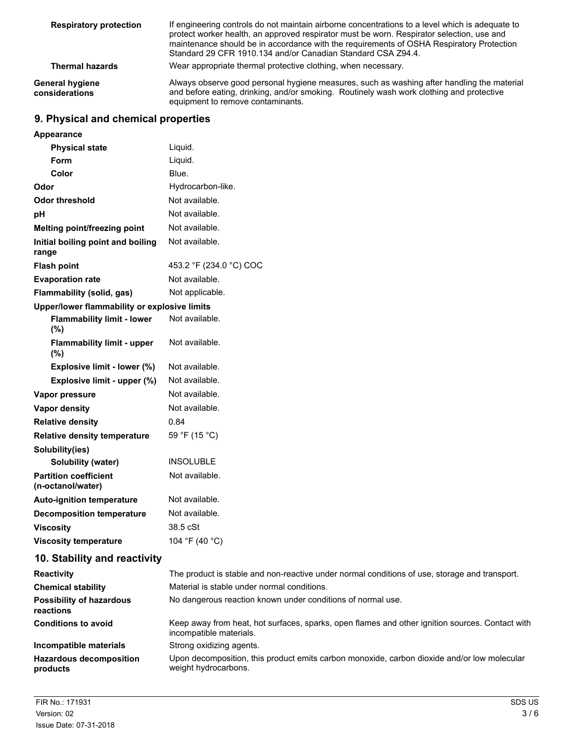| <b>Respiratory protection</b>     | If engineering controls do not maintain airborne concentrations to a level which is adequate to<br>protect worker health, an approved respirator must be worn. Respirator selection, use and<br>maintenance should be in accordance with the requirements of OSHA Respiratory Protection<br>Standard 29 CFR 1910.134 and/or Canadian Standard CSA Z94.4. |
|-----------------------------------|----------------------------------------------------------------------------------------------------------------------------------------------------------------------------------------------------------------------------------------------------------------------------------------------------------------------------------------------------------|
| <b>Thermal hazards</b>            | Wear appropriate thermal protective clothing, when necessary.                                                                                                                                                                                                                                                                                            |
| General hygiene<br>considerations | Always observe good personal hygiene measures, such as washing after handling the material<br>and before eating, drinking, and/or smoking. Routinely wash work clothing and protective<br>equipment to remove contaminants.                                                                                                                              |

## **9. Physical and chemical properties**

| Appearance                                        |                                                                                                                            |
|---------------------------------------------------|----------------------------------------------------------------------------------------------------------------------------|
| <b>Physical state</b>                             | Liquid.                                                                                                                    |
| <b>Form</b>                                       | Liquid.                                                                                                                    |
| Color                                             | Blue.                                                                                                                      |
| Odor                                              | Hydrocarbon-like.                                                                                                          |
| <b>Odor threshold</b>                             | Not available.                                                                                                             |
| pH                                                | Not available.                                                                                                             |
| Melting point/freezing point                      | Not available.                                                                                                             |
| Initial boiling point and boiling<br>range        | Not available.                                                                                                             |
| <b>Flash point</b>                                | 453.2 °F (234.0 °C) COC                                                                                                    |
| <b>Evaporation rate</b>                           | Not available.                                                                                                             |
| Flammability (solid, gas)                         | Not applicable.                                                                                                            |
| Upper/lower flammability or explosive limits      |                                                                                                                            |
| <b>Flammability limit - lower</b><br>(%)          | Not available.                                                                                                             |
| <b>Flammability limit - upper</b><br>(%)          | Not available.                                                                                                             |
| Explosive limit - lower (%)                       | Not available.                                                                                                             |
| Explosive limit - upper (%)                       | Not available.                                                                                                             |
| Vapor pressure                                    | Not available.                                                                                                             |
| <b>Vapor density</b>                              | Not available.                                                                                                             |
| <b>Relative density</b>                           | 0.84                                                                                                                       |
| <b>Relative density temperature</b>               | 59 °F (15 °C)                                                                                                              |
| Solubility(ies)                                   |                                                                                                                            |
| Solubility (water)                                | <b>INSOLUBLE</b>                                                                                                           |
| <b>Partition coefficient</b><br>(n-octanol/water) | Not available.                                                                                                             |
| <b>Auto-ignition temperature</b>                  | Not available.                                                                                                             |
| <b>Decomposition temperature</b>                  | Not available.                                                                                                             |
| <b>Viscosity</b>                                  | 38.5 cSt                                                                                                                   |
| <b>Viscosity temperature</b>                      | 104 °F (40 °C)                                                                                                             |
| 10. Stability and reactivity                      |                                                                                                                            |
| <b>Reactivity</b>                                 | The product is stable and non-reactive under normal conditions of use, storage and transport.                              |
| <b>Chemical stability</b>                         | Material is stable under normal conditions.                                                                                |
| Possibility of hazardous<br>reactions             | No dangerous reaction known under conditions of normal use.                                                                |
| <b>Conditions to avoid</b>                        | Keep away from heat, hot surfaces, sparks, open flames and other ignition sources. Contact with<br>incompatible materials. |
| Incompatible materials                            | Strong oxidizing agents.                                                                                                   |
| <b>Hazardous decomposition</b><br>products        | Upon decomposition, this product emits carbon monoxide, carbon dioxide and/or low molecular<br>weight hydrocarbons.        |
|                                                   |                                                                                                                            |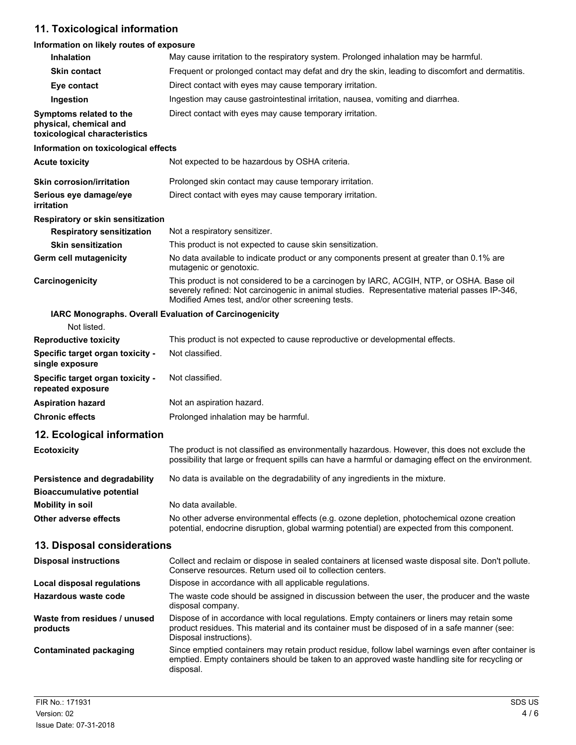# **11. Toxicological information**

## **Information on likely routes of exposure**

| Inhalation                                                                         | May cause irritation to the respiratory system. Prolonged inhalation may be harmful.                                                                                                                                                          |
|------------------------------------------------------------------------------------|-----------------------------------------------------------------------------------------------------------------------------------------------------------------------------------------------------------------------------------------------|
| <b>Skin contact</b>                                                                | Frequent or prolonged contact may defat and dry the skin, leading to discomfort and dermatitis.                                                                                                                                               |
| Eye contact                                                                        | Direct contact with eyes may cause temporary irritation.                                                                                                                                                                                      |
| Ingestion                                                                          | Ingestion may cause gastrointestinal irritation, nausea, vomiting and diarrhea.                                                                                                                                                               |
| Symptoms related to the<br>physical, chemical and<br>toxicological characteristics | Direct contact with eyes may cause temporary irritation.                                                                                                                                                                                      |
| Information on toxicological effects                                               |                                                                                                                                                                                                                                               |
| <b>Acute toxicity</b>                                                              | Not expected to be hazardous by OSHA criteria.                                                                                                                                                                                                |
| <b>Skin corrosion/irritation</b>                                                   | Prolonged skin contact may cause temporary irritation.                                                                                                                                                                                        |
| Serious eye damage/eye<br>irritation                                               | Direct contact with eyes may cause temporary irritation.                                                                                                                                                                                      |
| Respiratory or skin sensitization                                                  |                                                                                                                                                                                                                                               |
| <b>Respiratory sensitization</b>                                                   | Not a respiratory sensitizer.                                                                                                                                                                                                                 |
| <b>Skin sensitization</b>                                                          | This product is not expected to cause skin sensitization.                                                                                                                                                                                     |
| Germ cell mutagenicity                                                             | No data available to indicate product or any components present at greater than 0.1% are<br>mutagenic or genotoxic.                                                                                                                           |
| Carcinogenicity                                                                    | This product is not considered to be a carcinogen by IARC, ACGIH, NTP, or OSHA. Base oil<br>severely refined: Not carcinogenic in animal studies. Representative material passes IP-346,<br>Modified Ames test, and/or other screening tests. |
|                                                                                    | IARC Monographs. Overall Evaluation of Carcinogenicity                                                                                                                                                                                        |
| Not listed.                                                                        |                                                                                                                                                                                                                                               |
| <b>Reproductive toxicity</b>                                                       | This product is not expected to cause reproductive or developmental effects.                                                                                                                                                                  |
| Specific target organ toxicity -<br>single exposure                                | Not classified.                                                                                                                                                                                                                               |
| Specific target organ toxicity -<br>repeated exposure                              | Not classified.                                                                                                                                                                                                                               |
| <b>Aspiration hazard</b>                                                           | Not an aspiration hazard.                                                                                                                                                                                                                     |
| <b>Chronic effects</b>                                                             | Prolonged inhalation may be harmful.                                                                                                                                                                                                          |
| 12. Ecological information                                                         |                                                                                                                                                                                                                                               |
| <b>Ecotoxicity</b>                                                                 | The product is not classified as environmentally hazardous. However, this does not exclude the<br>possibility that large or frequent spills can have a harmful or damaging effect on the environment.                                         |
| <b>Persistence and degradability</b><br><b>Bioaccumulative potential</b>           | No data is available on the degradability of any ingredients in the mixture.                                                                                                                                                                  |
| <b>Mobility in soil</b>                                                            | No data available.                                                                                                                                                                                                                            |
| Other adverse effects                                                              | No other adverse environmental effects (e.g. ozone depletion, photochemical ozone creation<br>potential, endocrine disruption, global warming potential) are expected from this component.                                                    |
| 13. Disposal considerations                                                        |                                                                                                                                                                                                                                               |
| <b>Disposal instructions</b>                                                       | Collect and reclaim or dispose in sealed containers at licensed waste disposal site. Don't pollute.<br>Conserve resources. Return used oil to collection centers.                                                                             |
| <b>Local disposal regulations</b>                                                  | Dispose in accordance with all applicable regulations.                                                                                                                                                                                        |
| Hazardous waste code                                                               | The waste code should be assigned in discussion between the user, the producer and the waste<br>disposal company.                                                                                                                             |
| Waste from residues / unused<br>products                                           | Dispose of in accordance with local regulations. Empty containers or liners may retain some<br>product residues. This material and its container must be disposed of in a safe manner (see:<br>Disposal instructions).                        |
| <b>Contaminated packaging</b>                                                      | Since emptied containers may retain product residue, follow label warnings even after container is<br>emptied. Empty containers should be taken to an approved waste handling site for recycling or<br>disposal.                              |
|                                                                                    |                                                                                                                                                                                                                                               |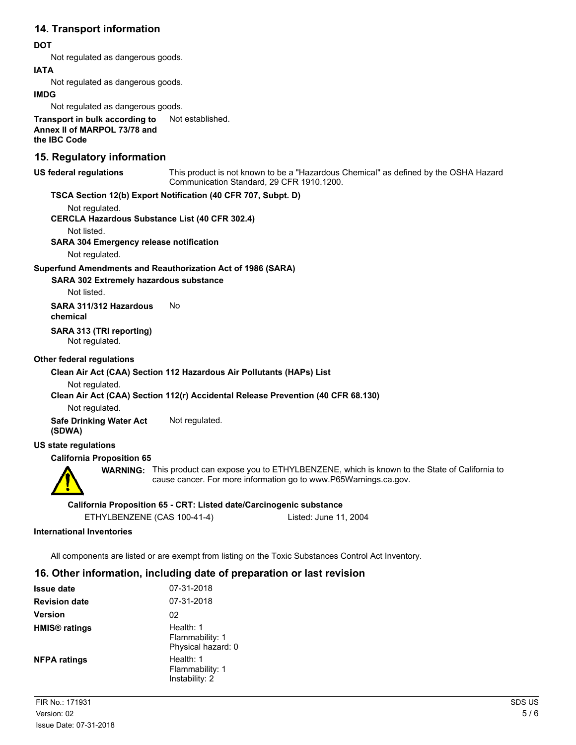## **14. Transport information**

## **DOT**

Not regulated as dangerous goods.

## **IATA**

Not regulated as dangerous goods.

#### **IMDG**

Not regulated as dangerous goods.

**Transport in bulk according to** Not established. **Annex II of MARPOL 73/78 and the IBC Code**

## **15. Regulatory information**

#### **US federal regulations**

This product is not known to be a "Hazardous Chemical" as defined by the OSHA Hazard Communication Standard, 29 CFR 1910.1200.

## **TSCA Section 12(b) Export Notification (40 CFR 707, Subpt. D)**

Not regulated.

**CERCLA Hazardous Substance List (40 CFR 302.4)**

Not listed.

**SARA 304 Emergency release notification**

Not regulated.

## **Superfund Amendments and Reauthorization Act of 1986 (SARA)**

**SARA 302 Extremely hazardous substance**

Not listed.

**SARA 311/312 Hazardous** No **chemical**

**SARA 313 (TRI reporting)**

Not regulated.

## **Other federal regulations**

## **Clean Air Act (CAA) Section 112 Hazardous Air Pollutants (HAPs) List**

Not regulated.

## **Clean Air Act (CAA) Section 112(r) Accidental Release Prevention (40 CFR 68.130)**

Not regulated.

**Safe Drinking Water Act** Not regulated. **(SDWA)**

## **US state regulations**

## **California Proposition 65**



**WARNING:** This product can expose you to ETHYLBENZENE, which is known to the State of California to cause cancer. For more information go to www.P65Warnings.ca.gov.

## **California Proposition 65 - CRT: Listed date/Carcinogenic substance**

## **International Inventories**

All components are listed or are exempt from listing on the Toxic Substances Control Act Inventory.

## **16. Other information, including date of preparation or last revision**

| <b>Issue date</b>               | 07-31-2018                                         |
|---------------------------------|----------------------------------------------------|
| <b>Revision date</b>            | 07-31-2018                                         |
| <b>Version</b>                  | 02                                                 |
| <b>HMIS<sup>®</sup></b> ratings | Health: 1<br>Flammability: 1<br>Physical hazard: 0 |
| <b>NFPA ratings</b>             | Health: 1<br>Flammability: 1<br>Instability: 2     |